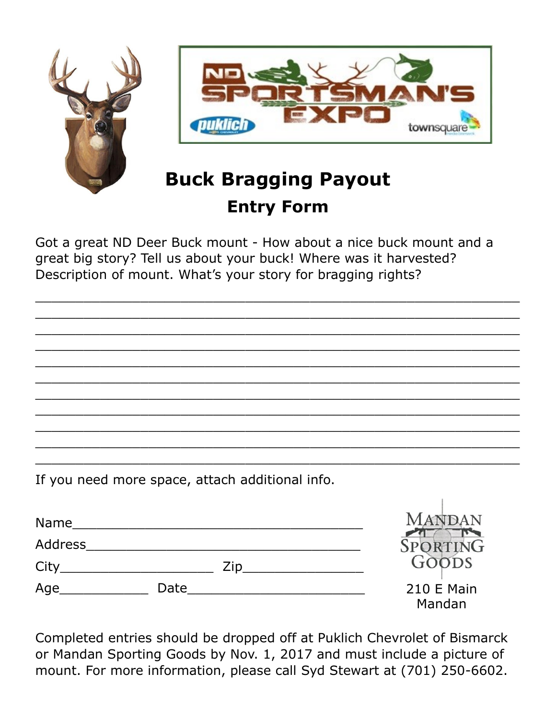

## **Entry Form**

Got a great ND Deer Buck mount - How about a nice buck mount and a great big story? Tell us about your buck! Where was it harvested? Description of mount. What's your story for bragging rights?

 $\_$  , and the set of the set of the set of the set of the set of the set of the set of the set of the set of the set of the set of the set of the set of the set of the set of the set of the set of the set of the set of th  $\_$  , and the set of the set of the set of the set of the set of the set of the set of the set of the set of the set of the set of the set of the set of the set of the set of the set of the set of the set of the set of th  $\_$  , and the set of the set of the set of the set of the set of the set of the set of the set of the set of the set of the set of the set of the set of the set of the set of the set of the set of the set of the set of th  $\_$  , and the set of the set of the set of the set of the set of the set of the set of the set of the set of the set of the set of the set of the set of the set of the set of the set of the set of the set of the set of th  $\_$  , and the set of the set of the set of the set of the set of the set of the set of the set of the set of the set of the set of the set of the set of the set of the set of the set of the set of the set of the set of th  $\_$  , and the set of the set of the set of the set of the set of the set of the set of the set of the set of the set of the set of the set of the set of the set of the set of the set of the set of the set of the set of th  $\_$  , and the set of the set of the set of the set of the set of the set of the set of the set of the set of the set of the set of the set of the set of the set of the set of the set of the set of the set of the set of th  $\_$  . The contract of the contract of the contract of the contract of the contract of the contract of the contract of the contract of the contract of the contract of the contract of the contract of the contract of the con  $\_$  , and the set of the set of the set of the set of the set of the set of the set of the set of the set of the set of the set of the set of the set of the set of the set of the set of the set of the set of the set of th  $\_$  , and the set of the set of the set of the set of the set of the set of the set of the set of the set of the set of the set of the set of the set of the set of the set of the set of the set of the set of the set of th  $\_$  , and the set of the set of the set of the set of the set of the set of the set of the set of the set of the set of the set of the set of the set of the set of the set of the set of the set of the set of the set of th

If you need more space, attach additional info.

| <b>Name</b>    |      |     | <b>MANDAN</b>               |
|----------------|------|-----|-----------------------------|
| <b>Address</b> |      |     | SPORTING                    |
| City           |      | Zip | GOODS                       |
| Age            | Date |     | <b>210 E Main</b><br>Mandan |

Completed entries should be dropped off at Puklich Chevrolet of Bismarck or Mandan Sporting Goods by Nov. 1, 2017 and must include a picture of mount. For more information, please call Syd Stewart at (701) 250-6602.